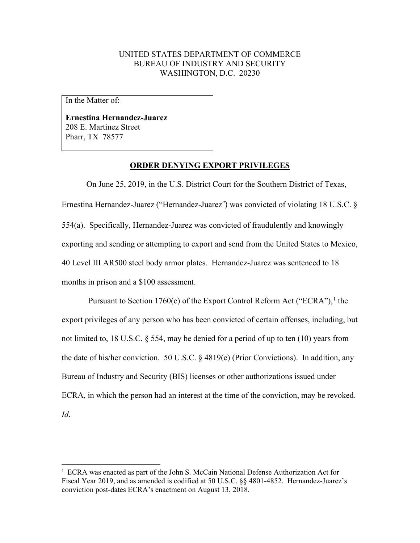## UNITED STATES DEPARTMENT OF COMMERCE BUREAU OF INDUSTRY AND SECURITY WASHINGTON, D.C. 20230

In the Matter of:

**Ernestina Hernandez-Juarez** 208 E. Martinez Street Pharr, TX 78577

## **ORDER DENYING EXPORT PRIVILEGES**

On June 25, 2019, in the U.S. District Court for the Southern District of Texas, Ernestina Hernandez-Juarez ("Hernandez-Juarez") was convicted of violating 18 U.S.C. § 554(a). Specifically, Hernandez-Juarez was convicted of fraudulently and knowingly exporting and sending or attempting to export and send from the United States to Mexico, 40 Level III AR500 steel body armor plates. Hernandez-Juarez was sentenced to 18 months in prison and a \$100 assessment.

Pursuant to Section [1](#page-0-0)760(e) of the Export Control Reform Act ("ECRA"),<sup>1</sup> the export privileges of any person who has been convicted of certain offenses, including, but not limited to, 18 U.S.C. § 554, may be denied for a period of up to ten (10) years from the date of his/her conviction. 50 U.S.C. § 4819(e) (Prior Convictions). In addition, any Bureau of Industry and Security (BIS) licenses or other authorizations issued under ECRA, in which the person had an interest at the time of the conviction, may be revoked. *Id*.

<span id="page-0-0"></span><sup>&</sup>lt;sup>1</sup> ECRA was enacted as part of the John S. McCain National Defense Authorization Act for Fiscal Year 2019, and as amended is codified at 50 U.S.C. §§ 4801-4852. Hernandez-Juarez's conviction post-dates ECRA's enactment on August 13, 2018.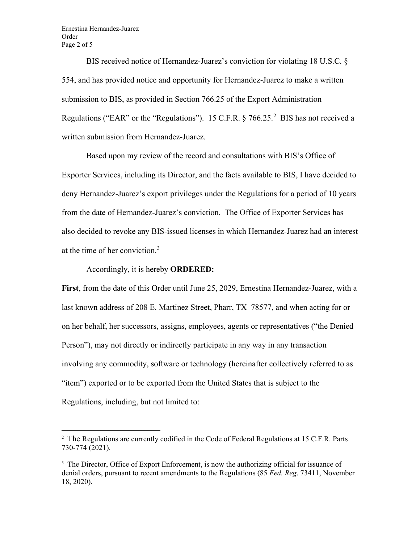Ernestina Hernandez-Juarez Order Page 2 of 5

BIS received notice of Hernandez-Juarez's conviction for violating 18 U.S.C. § 554, and has provided notice and opportunity for Hernandez-Juarez to make a written submission to BIS, as provided in Section 766.25 of the Export Administration Regulations ("EAR" or the "Regulations"). 15 C.F.R.  $\S 766.25$  $\S 766.25$  $\S 766.25$ .<sup>2</sup> BIS has not received a written submission from Hernandez-Juarez.

Based upon my review of the record and consultations with BIS's Office of Exporter Services, including its Director, and the facts available to BIS, I have decided to deny Hernandez-Juarez's export privileges under the Regulations for a period of 10 years from the date of Hernandez-Juarez's conviction. The Office of Exporter Services has also decided to revoke any BIS-issued licenses in which Hernandez-Juarez had an interest at the time of her conviction.[3](#page-1-1)

Accordingly, it is hereby **ORDERED:**

**First**, from the date of this Order until June 25, 2029, Ernestina Hernandez-Juarez, with a last known address of 208 E. Martinez Street, Pharr, TX 78577, and when acting for or on her behalf, her successors, assigns, employees, agents or representatives ("the Denied Person"), may not directly or indirectly participate in any way in any transaction involving any commodity, software or technology (hereinafter collectively referred to as "item") exported or to be exported from the United States that is subject to the Regulations, including, but not limited to:

<span id="page-1-0"></span><sup>&</sup>lt;sup>2</sup> The Regulations are currently codified in the Code of Federal Regulations at 15 C.F.R. Parts 730-774 (2021).

<span id="page-1-1"></span><sup>&</sup>lt;sup>3</sup> The Director, Office of Export Enforcement, is now the authorizing official for issuance of denial orders, pursuant to recent amendments to the Regulations (85 *Fed. Reg*. 73411, November 18, 2020).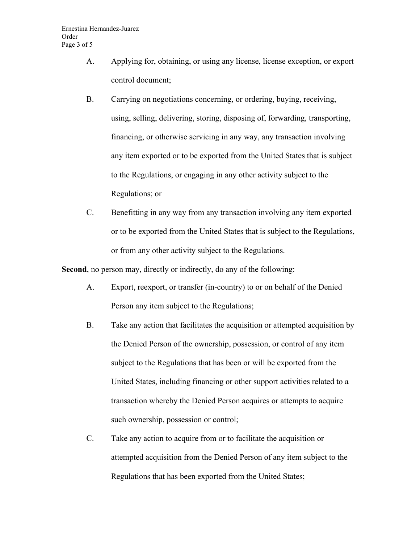- A. Applying for, obtaining, or using any license, license exception, or export control document;
- B. Carrying on negotiations concerning, or ordering, buying, receiving, using, selling, delivering, storing, disposing of, forwarding, transporting, financing, or otherwise servicing in any way, any transaction involving any item exported or to be exported from the United States that is subject to the Regulations, or engaging in any other activity subject to the Regulations; or
- C. Benefitting in any way from any transaction involving any item exported or to be exported from the United States that is subject to the Regulations, or from any other activity subject to the Regulations.

**Second**, no person may, directly or indirectly, do any of the following:

- A. Export, reexport, or transfer (in-country) to or on behalf of the Denied Person any item subject to the Regulations;
- B. Take any action that facilitates the acquisition or attempted acquisition by the Denied Person of the ownership, possession, or control of any item subject to the Regulations that has been or will be exported from the United States, including financing or other support activities related to a transaction whereby the Denied Person acquires or attempts to acquire such ownership, possession or control;
- C. Take any action to acquire from or to facilitate the acquisition or attempted acquisition from the Denied Person of any item subject to the Regulations that has been exported from the United States;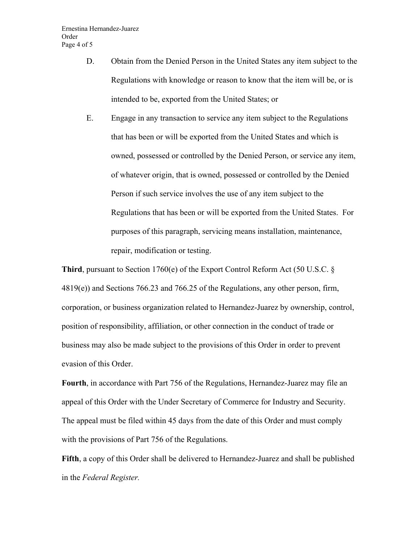- D. Obtain from the Denied Person in the United States any item subject to the Regulations with knowledge or reason to know that the item will be, or is intended to be, exported from the United States; or
- E. Engage in any transaction to service any item subject to the Regulations that has been or will be exported from the United States and which is owned, possessed or controlled by the Denied Person, or service any item, of whatever origin, that is owned, possessed or controlled by the Denied Person if such service involves the use of any item subject to the Regulations that has been or will be exported from the United States. For purposes of this paragraph, servicing means installation, maintenance, repair, modification or testing.

**Third**, pursuant to Section 1760(e) of the Export Control Reform Act (50 U.S.C.  $\S$ 4819(e)) and Sections 766.23 and 766.25 of the Regulations, any other person, firm, corporation, or business organization related to Hernandez-Juarez by ownership, control, position of responsibility, affiliation, or other connection in the conduct of trade or business may also be made subject to the provisions of this Order in order to prevent evasion of this Order.

**Fourth**, in accordance with Part 756 of the Regulations, Hernandez-Juarez may file an appeal of this Order with the Under Secretary of Commerce for Industry and Security. The appeal must be filed within 45 days from the date of this Order and must comply with the provisions of Part 756 of the Regulations.

**Fifth**, a copy of this Order shall be delivered to Hernandez-Juarez and shall be published in the *Federal Register.*